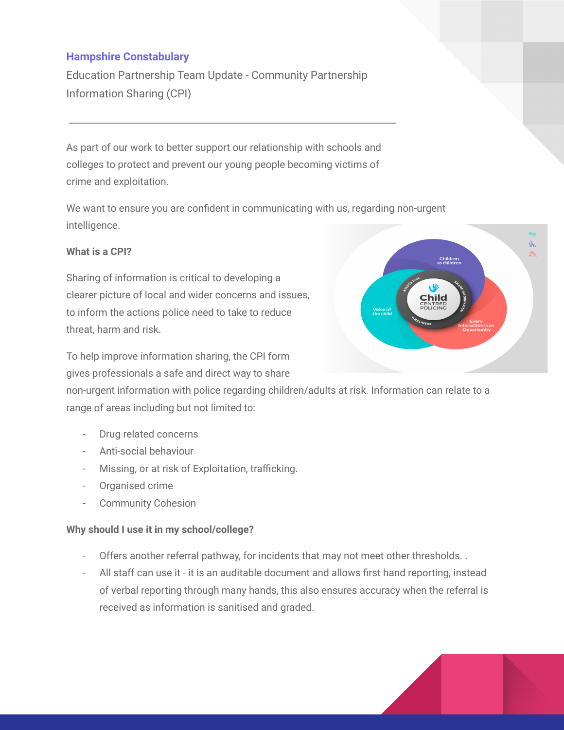## **Hampshire Constabulary**

Education Partnership Team Update - Community Partnership Information Sharing (CPI)

As part of our work to better support our relationship with schools and colleges to protect and prevent our young people becoming victims of crime and exploitation.

We want to ensure you are confident in communicating with us, regarding non-urgent intelligence.

## **What is a CPI?**

Sharing of information is critical to developing a clearer picture of local and wider concerns and issues, to inform the actions police need to take to reduce threat, harm and risk.

To help improve information sharing, the CPI form gives professionals a safe and direct way to share Child

**Children**<br>as childrei

 $\mathbb{R}$ 

non-urgent information with police regarding children/adults at risk. Information can relate to a range of areas including but not limited to:

- Drug related concerns
- Anti-social behaviour
- Missing, or at risk of Exploitation, trafficking.
- Organised crime
- Community Cohesion

## **Why should I use it in my school/college?**

- Offers another referral pathway, for incidents that may not meet other thresholds...
- All staff can use it it is an auditable document and allows first hand reporting, instead of verbal reporting through many hands, this also ensures accuracy when the referral is received as information is sanitised and graded.